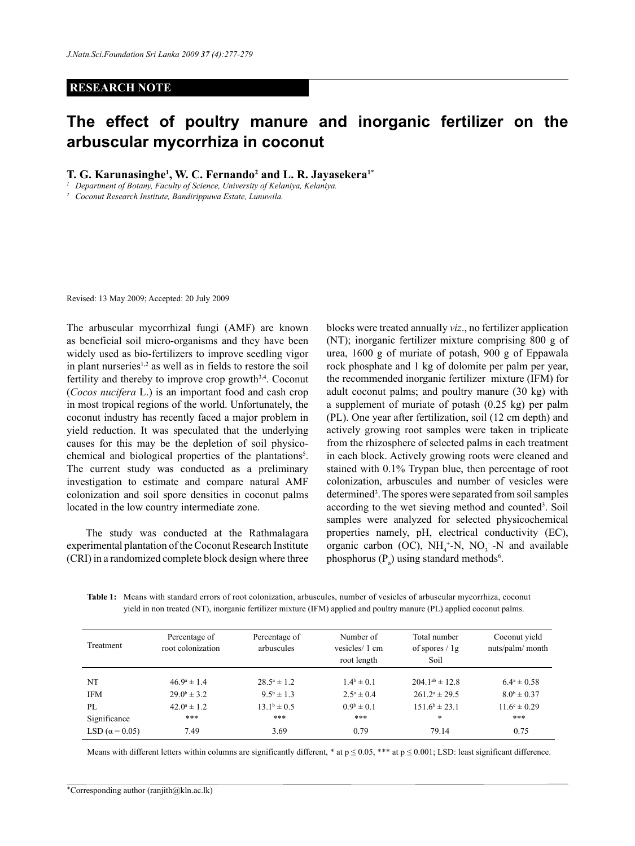## **RESEARCH NOTE**

## **The effect of poultry manure and inorganic fertilizer on the arbuscular mycorrhiza in coconut**

**T. G. Karunasinghe1 , W. C. Fernando2 and L. R. Jayasekera1\***

*<sup>1</sup> Department of Botany, Faculty of Science, University of Kelaniya, Kelaniya.*

*<sup>2</sup> Coconut Research Institute, Bandirippuwa Estate, Lunuwila.*

Revised: 13 May 2009; Accepted: 20 July 2009

The arbuscular mycorrhizal fungi (AMF) are known as beneficial soil micro-organisms and they have been widely used as bio-fertilizers to improve seedling vigor in plant nurseries<sup>1,2</sup> as well as in fields to restore the soil fertility and thereby to improve crop growth<sup>3,4</sup>. Coconut (*Cocos nucifera* L.) is an important food and cash crop in most tropical regions of the world. Unfortunately, the coconut industry has recently faced a major problem in yield reduction. It was speculated that the underlying causes for this may be the depletion of soil physicochemical and biological properties of the plantations<sup>5</sup>. The current study was conducted as a preliminary investigation to estimate and compare natural AMF colonization and soil spore densities in coconut palms located in the low country intermediate zone.

The study was conducted at the Rathmalagara experimental plantation of the Coconut Research Institute (CRI) in a randomized complete block design where three blocks were treated annually *viz*., no fertilizer application (NT); inorganic fertilizer mixture comprising 800 g of urea, 1600 g of muriate of potash, 900 g of Eppawala rock phosphate and 1 kg of dolomite per palm per year, the recommended inorganic fertilizer mixture (IFM) for adult coconut palms; and poultry manure (30 kg) with a supplement of muriate of potash (0.25 kg) per palm (PL). One year after fertilization, soil (12 cm depth) and actively growing root samples were taken in triplicate from the rhizosphere of selected palms in each treatment in each block. Actively growing roots were cleaned and stained with 0.1% Trypan blue, then percentage of root colonization, arbuscules and number of vesicles were determined<sup>3</sup>. The spores were separated from soil samples according to the wet sieving method and counted<sup>3</sup>. Soil samples were analyzed for selected physicochemical properties namely, pH, electrical conductivity (EC), organic carbon (OC),  $NH_4^+$ -N, NO<sub>3</sub> -N and available phosphorus ( $P_a$ ) using standard methods<sup>6</sup>.

**Table 1:** Means with standard errors of root colonization, arbuscules, number of vesicles of arbuscular mycorrhiza, coconut yield in non treated (NT), inorganic fertilizer mixture (IFM) applied and poultry manure (PL) applied coconut palms.

| Treatment              | Percentage of<br>root colonization | Percentage of<br>arbuscules | Number of<br>vesicles/1 cm<br>root length | Total number<br>of spores $/ \lg$<br>Soil | Coconut yield<br>nuts/palm/ month |
|------------------------|------------------------------------|-----------------------------|-------------------------------------------|-------------------------------------------|-----------------------------------|
| NT                     | $46.9^{\circ} \pm 1.4$             | $28.5^{\circ} \pm 1.2$      | $1.4^b \pm 0.1$                           | $204.1^{ab} \pm 12.8$                     | $6.4^{\circ} \pm 0.58$            |
| <b>IFM</b>             | $29.0^{\rm b} \pm 3.2$             | $9.5^{\rm b} \pm 1.3$       | $2.5^a \pm 0.4$                           | $261.2^a \pm 29.5$                        | $8.0^{\rm b} \pm 0.37$            |
| PI.                    | $42.0^{\circ} \pm 1.2$             | $13.1^b \pm 0.5$            | $0.9^b \pm 0.1$                           | $151.6^b \pm 23.1$                        | $11.6^{\circ} \pm 0.29$           |
| Significance           | ***                                | ***                         | ***                                       | *                                         | ***                               |
| LSD ( $\alpha$ = 0.05) | 7.49                               | 3.69                        | 0.79                                      | 79.14                                     | 0.75                              |

Means with different letters within columns are significantly different, \* at  $p \le 0.05$ , \*\*\* at  $p \le 0.001$ ; LSD: least significant difference.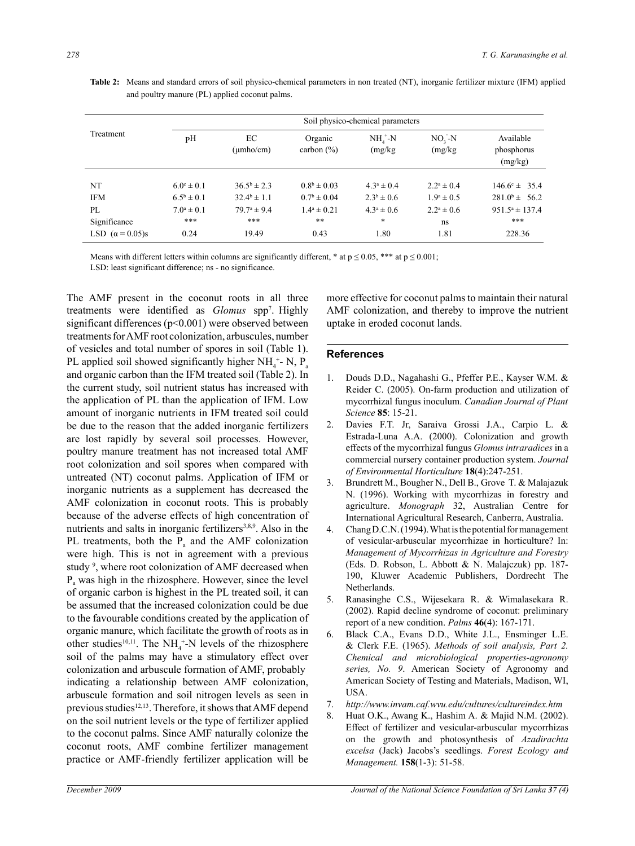| Treatment              | Soil physico-chemical parameters |                        |                           |                     |                      |                                    |  |  |
|------------------------|----------------------------------|------------------------|---------------------------|---------------------|----------------------|------------------------------------|--|--|
|                        | pН                               | EС<br>$(\mu mho/cm)$   | Organic<br>carbon $(\% )$ | $NHa+-N$<br>(mg/kg) | $NO2 - N$<br>(mg/kg) | Available<br>phosphorus<br>(mg/kg) |  |  |
| NT                     | $6.0^{\circ} \pm 0.1$            | $36.5^b \pm 2.3$       | $0.8^b \pm 0.03$          | $4.3^a \pm 0.4$     | $2.2^a \pm 0.4$      | $146.6^{\circ} \pm 35.4$           |  |  |
| <b>IFM</b>             | $6.5^{\rm b} \pm 0.1$            | $32.4^{\circ} \pm 1.1$ | $0.7^{\rm b} \pm 0.04$    | $2.3^b \pm 0.6$     | $1.9^a \pm 0.5$      | $281.0^b \pm 56.2$                 |  |  |
| PL                     | $7.0^a \pm 0.1$                  | $79.7^{\circ} \pm 9.4$ | $1.4^a \pm 0.21$          | $4.3^a \pm 0.6$     | $2.2^a \pm 0.6$      | $951.5^a \pm 137.4$                |  |  |
| Significance           | ***                              | ***                    | **                        | $\ast$              | ns                   | ***                                |  |  |
| LSD $(\alpha = 0.05)s$ | 0.24                             | 19.49                  | 0.43                      | 1.80                | 1.81                 | 228.36                             |  |  |

**Table 2:** Means and standard errors of soil physico-chemical parameters in non treated (NT), inorganic fertilizer mixture (IFM) applied and poultry manure (PL) applied coconut palms.

Means with different letters within columns are significantly different, \* at  $p \le 0.05$ , \*\*\* at  $p \le 0.001$ ;

LSD: least significant difference; ns - no significance.

The AMF present in the coconut roots in all three treatments were identified as *Glomus* spp7 . Highly significant differences (p<0.001) were observed between treatments for AMF root colonization, arbuscules, number of vesicles and total number of spores in soil (Table 1). PL applied soil showed significantly higher NH<sub>4</sub><sup>+</sup>- N, P<sub>a</sub> and organic carbon than the IFM treated soil (Table 2). In the current study, soil nutrient status has increased with the application of PL than the application of IFM. Low amount of inorganic nutrients in IFM treated soil could be due to the reason that the added inorganic fertilizers are lost rapidly by several soil processes. However, poultry manure treatment has not increased total AMF root colonization and soil spores when compared with untreated (NT) coconut palms. Application of IFM or inorganic nutrients as a supplement has decreased the AMF colonization in coconut roots. This is probably because of the adverse effects of high concentration of nutrients and salts in inorganic fertilizers<sup>3,8,9</sup>. Also in the PL treatments, both the  $P_a$  and the AMF colonization were high. This is not in agreement with a previous study<sup>9</sup>, where root colonization of AMF decreased when  $P<sub>a</sub>$  was high in the rhizosphere. However, since the level of organic carbon is highest in the PL treated soil, it can be assumed that the increased colonization could be due to the favourable conditions created by the application of organic manure, which facilitate the growth of roots as in other studies<sup>10,11</sup>. The NH<sub>4</sub><sup>+</sup>-N levels of the rhizosphere soil of the palms may have a stimulatory effect over colonization and arbuscule formation of AMF, probably indicating a relationship between AMF colonization, arbuscule formation and soil nitrogen levels as seen in previous studies<sup>12,13</sup>. Therefore, it shows that AMF depend on the soil nutrient levels or the type of fertilizer applied to the coconut palms. Since AMF naturally colonize the coconut roots, AMF combine fertilizer management practice or AMF-friendly fertilizer application will be

more effective for coconut palms to maintain their natural AMF colonization, and thereby to improve the nutrient uptake in eroded coconut lands.

## **References**

- 1. Douds D.D., Nagahashi G., Pfeffer P.E., Kayser W.M. & Reider C. (2005). On-farm production and utilization of mycorrhizal fungus inoculum. *Canadian Journal of Plant Science* **85**: 15-21.
- 2. Davies F.T. Jr, Saraiva Grossi J.A., Carpio L. & Estrada-Luna A.A. (2000). Colonization and growth effects of the mycorrhizal fungus *Glomus intraradices* in a commercial nursery container production system. *Journal of Environmental Horticulture* **18**(4):247-251.
- 3. Brundrett M., Bougher N., Dell B., Grove T. & Malajazuk N. (1996). Working with mycorrhizas in forestry and agriculture. *Monograph* 32, Australian Centre for International Agricultural Research, Canberra, Australia.
- 4. Chang D.C.N. (1994). What is the potential for management of vesicular-arbuscular mycorrhizae in horticulture? In: *Management of Mycorrhizas in Agriculture and Forestry* (Eds. D. Robson, L. Abbott & N. Malajczuk) pp. 187- 190, Kluwer Academic Publishers, Dordrecht The Netherlands.
- 5. Ranasinghe C.S., Wijesekara R. & Wimalasekara R. (2002). Rapid decline syndrome of coconut: preliminary report of a new condition. *Palms* **46**(4): 167-171.
- 6. Black C.A., Evans D.D., White J.L., Ensminger L.E. & Clerk F.E. (1965). *Methods of soil analysis, Part 2. Chemical and microbiological properties-agronomy series, No. 9*. American Society of Agronomy and American Society of Testing and Materials, Madison, WI, USA.
- 7. *http://www.invam.caf.wvu.edu/cultures/cultureindex.htm*
- 8. Huat O.K., Awang K., Hashim A. & Majid N.M. (2002). Effect of fertilizer and vesicular-arbuscular mycorrhizas on the growth and photosynthesis of *Azadirachta excelsa* (Jack) Jacobs's seedlings. *Forest Ecology and Management.* **158**(1-3): 51-58.